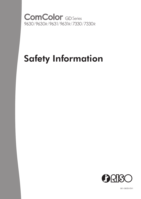**ComColor** GD Series<br>9630/9630R/9631/9631R/7330/7330R

# Safety Information



061-360SI-EN1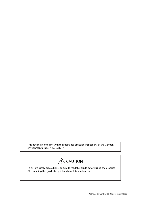This device is compliant with the substance emission inspections of the German environmental label "RAL-UZ171".



To ensure safety precautions, be sure to read this guide before using the product. After reading this guide, keep it handy for future reference.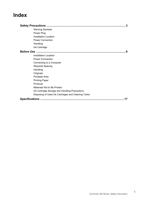# **Index**

| 3                                                   |  |
|-----------------------------------------------------|--|
| <b>Warning Symbols</b>                              |  |
| Power Plug                                          |  |
| <b>Installation Location</b>                        |  |
| <b>Power Connection</b>                             |  |
| Handling                                            |  |
| Ink Cartridge                                       |  |
|                                                     |  |
| Installation Location                               |  |
| <b>Power Connection</b>                             |  |
| Connecting to a Computer                            |  |
| <b>Required Spacing</b>                             |  |
| Handling                                            |  |
| Originals                                           |  |
| Printable Area                                      |  |
| <b>Printing Paper</b>                               |  |
| Printouts                                           |  |
| Materials Not to Be Printed                         |  |
| Ink Cartridge Storage and Handling Precautions      |  |
| Disposing of Used Ink Cartridges and Cleaning Tanks |  |
| 17                                                  |  |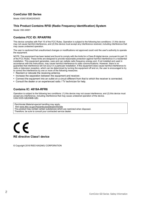## **ComColor GD Series**

Model: 63A01/63A02/63A03

## **This Product Contains RFID (Radio Frequency Identification) System**

Model: 050-34901

## **Contains FCC ID: RPARFR6**

This device complies with Part 15 of the FCC Rules. Operation is subject to the following two conditions: (1) this device may not cause harmful interference, and (2) this device must accept any interference received, including interference that may cause undesired operation.

The user is cautioned that unauthorised changes or modifications not approved could void the user's authority to operate the equipment.

NOTE: This equipment has been tested and found to comply with the limits for a Class B digital device, pursuant to part 15 of the FCC Rules. These limits are designed to provide reasonable protection against harmful interference in a residential installation. This equipment generates, uses and can radiate radio frequency energy and, if not installed and used in accordance with the instructions, may cause harmful interference to radio communications. However, there is no guarantee that interference will not occur in a particular installation. If this equipment does cause harmful interference to radio or television reception, which can be determined by turning the equipment off and on, the user is encouraged to try to correct the interference by one or more of the following measures:

- **•** Reorient or relocate the receiving antenna.
- **•** Increase the separation between the equipment and receiver.
- **•** Connect the equipment into an outlet on a circuit different from that to which the receiver is connected.
- **•** Consult the dealer or an experienced radio / TV technician for help.

### **Contains IC: 4819A-RFR6**

Operation is subject to the following two conditions: (1) this device may not cause interference, and (2) this device must accept any interference, including interference that may cause undesired operation of the device. CAN ICES-3(B)/NMB-3(B)

Perchlorate Material-special handling may apply, See www.dtsc.ca.gov/hazardouswaste/perchlorate This product may contain certain substances which are restricted when disposed. Therefore, be sure to consult your contracted service dealer.



© Copyright 2016 RISO KAGAKU CORPORATION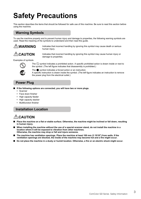# <span id="page-4-0"></span>**Safety Precautions**

This section describes the items that should be followed for safe use of this machine. Be sure to read this section before using the machine.

# <span id="page-4-1"></span>**Warning Symbols**

To use the machine properly and to prevent human injury and damage to properties, the following warning symbols are used. Read the meaning of the symbols to understand and then read this guide.

**WARNING** Indicates that incorrect handling by ignoring this symbol may cause death or serious human injury.

**CAUTION** Indicates that incorrect handling by ignoring this symbol may cause human injury or damage to properties.

Examples of symbols



The  $\bigcirc$  symbol indicates a prohibited action. A specific prohibited action is drawn inside or next to the symbol. (The left figure indicates that disassembly is prohibited.)

The  $\bullet$  symbol indicates a forced action or an instruction. A specific instruction is drawn inside the symbol. (The left figure indicates an instruction to remove the power plug from the electrical outlet.)

# <span id="page-4-2"></span>**Power Plug**

- If the following options are connected, you will have two or more plugs.
	- **•** Scanner
	- **•** Face down finisher
	- **•** High capacity feeder
	- **•** High capacity stacker
	- **•** Multifunction finisher

# <span id="page-4-3"></span>**Installation Location**

# **ACAUTION**

- Place the machine on a flat or stable surface. Otherwise, the machine might be inclined or fall down, resulting **in human injury.**
- When installing the machine without the use of a special scanner stand, do not install the machine in a **location where it will be exposed to vibration from other machines. Otherwise, the machine may drop or fall and injure someone.**
- The machine has ventilation openings. Place the machine at least 100 mm (3 15/16") from walls. If the **ventilation openings are blocked, the inside of the machine may become hot and a fire might occur.**
- **Do not place the machine in a dusty or humid location. Otherwise, a fire or an electric shock might occur.**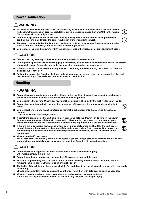# <span id="page-5-0"></span>**Power Connection**

# **WARNING**

- Install the machine near the wall socket to avoid using an extension cord between the machine and the **wall socket. If an extension cord is absolutely required, do not use longer than 5m (15ft). Otherwise, a fire or an electric shock might occur.**
- **Do not damage or rebuild the power cord. Placing a heavy object on the cord or pulling or forcibly bending the cord may damage the cord, resulting in a fire or an electric shock.**
- **The power cord supplied with this product can be used only for this machine. Do not use it for another electric product. Otherwise, a fire or an electric shock might occur.**
- Do not plug or unplug the power cord if your hands are wet. Otherwise, an electric shock might occur.

# **CAUTION**

- Connect the plug securely to the electrical outlet to avoid a loose connection.
- **Do not pull the power cord when unplugging it. Otherwise, it could become damaged and a fire or an electric shock might occur. Be sure to hold on to the plug when unplugging the power cord.**
- If the machine will not be used for a long time, such as during a holiday, unplug the power cord from the **electrical outlet for safety.**
- **Pull out the power plug from the electrical outlet at least once a year and clean the prongs of the plug and their surroundings. Dust collected on these areas can result in fire.**

# <span id="page-5-1"></span>**Handling**

# **WARNING**

- Do not place water containers or metallic objects on the machine. If water drips inside the machine or a **metallic object drops inside it, a fire or an electric shock might occur.**
- **Do not remove the covers. Otherwise, you might be electrically shocked by the high-voltage part inside.**
- Do not disassemble or rebuild the machine by yourself. Otherwise, a fire or an electric shock might **occur.**
- **Do not insert or drop any metallic material or flammable substances into the machine through any opening.**

**A fire or an electric shock might occur.**

- If something drops inside the unit, immediately press and hold the [Power] key to turn off the power **for operations, then turn off the main power switch. Next, unplug the power cord and contact your dealer or authorized service representative. Continued use might result in a fire or an electric shock.**
- If the unit emits excessive heat, smoke or foul odor, immediately press and hold the [Power] key to **turn off the power for operations, then turn off the main power switch. Next, unplug all the power cords and contact your dealer or authorized service representative. Otherwise, a fire or an electric shock might occur.**
- When using the IC card reader **The IC card reader continually emits a weak signal. If you are using a cardiac pacemaker and notice any abnormalities, immediately move away from the machine. Consult a physician immediately.**

# **/!\CAUTION**

- Do not insert your fingers in the areas around the standard tray or stacking tray. **Otherwise, an injury might occur.**
- Do not touch the moving parts of the machine. Otherwise, an injury might occur.
- Be careful of protruding parts and metal terminals when inserting the hand inside the printer such as **removing jammed paper. Otherwise, an injury might occur.**
- The inside of the printer may have areas with ink. Be careful not to let the ink come in contact with your hands **or clothing.**

**Should ink accidentally make contact with your hands, wash it off with detergent as soon as possible.**

When moving the machine, contact your dealer or authorized service representative. **If you try to forcibly move the machine, the machine may overturn, resulting in injury.**

 $\Delta$ 











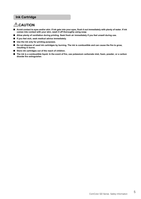# <span id="page-6-0"></span>**Ink Cartridge**

# **CAUTION**

- Avoid contact to eyes and/or skin. If ink gets into your eyes, flush it out immediately with plenty of water. If ink **comes into contact with your skin, wash it off thoroughly using soap.**
- **Allow plenty of ventilation during printing. Seek fresh air immediately if you feel unwell during use.**
- **If you feel sick, seek medical advice immediately.**
- **Use the ink only for printing purposes.**
- **Do not dispose of used ink cartridges by burning. The ink is combustible and can cause the fire to grow, resulting in burns.**
- Store ink cartridges out of the reach of children.
- The ink is a combustible liquid. In the event of fire, use potassium carbonate mist, foam, powder, or a carbon **dioxide fire extinguisher.**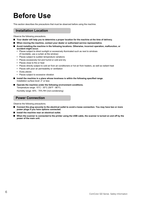# <span id="page-7-0"></span>**Before Use**

This section describes the precautions that must be observed before using the machine.

# <span id="page-7-1"></span>**Installation Location**

Observe the following precautions.

- Your dealer will help you to determine a proper location for the machine at the time of delivery.
- When moving the machine, contact your dealer or authorized service representative.
- **Avoid installing the machine in the following locations. Otherwise, incorrect operation, malfunction, or accident might occur.**
	- **•** Places subject to direct sunlight or excessively illuminated such as next to windows (if inevitable, use a curtain at the window)
	- **•** Places subject to sudden temperature variations
	- **•** Places excessively hot and humid or cold and dry
	- **•** Places close to fire or heat
	- **•** Places directly subject to cold air from air conditioners or hot air from heaters, as well as radiant heat
	- **•** Places with poor air permeability or ventilation
	- **•** Dusty places
	- **•** Places subject to excessive vibration
- Install the machine in a place whose levelness is within the following specified range. Installation surface level: 2° or less
- **Operate the machine under the following environment conditions.** Temperature range: 15°C - 30°C (59°F - 86°F) Humidity range: 40% - 70% RH (non-condensing)

## <span id="page-7-2"></span>**Power Connection**

Observe the following precautions.

- Connect the plug securely to the electrical outlet to avoid a loose connection. You may have two or more **power plugs if you have options connected.**
- Install the machine near an electrical outlet.
- When the scanner is connected to the printer using the USB cable, the scanner is turned on and off by the **power of the main unit.**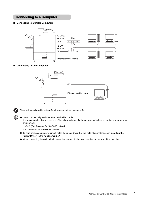# <span id="page-8-0"></span>**Connecting to a Computer**

■ **Connecting to Multiple Computers** 



■ **Connecting to One Computer** 





The maximum allowable voltage for all input/output connection is 5V.

- Use a commercially available ethernet shielded cable. It is recommended that you use one of the following types of ethernet shielded cables according to your network environment.
	- Cat 5 (Cat 5e) cable for 100BASE network
	- Cat 5e cable for 1000BASE network
- To print from a computer, you must install the printer driver. For the installation method, see **"Installing the Printer Driver"** in the **"User's Guide"**.
- When connecting the optional print controller, connect to the LAN1 terminal on the rear of the machine.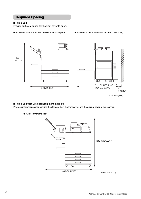# <span id="page-9-0"></span>**Required Spacing**

#### ■ **Main Unit**

Provide sufficient space for the front cover to open.

- As seen from the front (with the standard tray open) As seen from the side (with the front cover open)
	-



Units: mm (inch)

#### ■ Main Unit with Optional Equipment Installed

Provide sufficient space for opening the standard tray, the front cover, and the original cover of the scanner.

- $\overline{\phantom{a}}$ 1345 (52 31/32") <sup>2</sup> ▁▁**▕<del>w</del>** ▁▁▁ 1440 (56 11/16") <sup>1</sup>Units: mm (inch)
- As seen from the front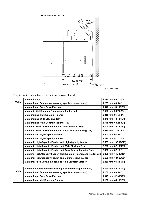

Units: mm (inch)

The size varies depending on the optional equipment used.

| $\mathbf{1}$   | Main unit only                                                           | 1,220 mm (48 1/32")   |
|----------------|--------------------------------------------------------------------------|-----------------------|
| Width          | Main unit and Scanner (when using special scanner stand)                 | 1,235 mm (48 5/8")    |
|                | <b>Main unit and Face Down Finisher</b>                                  | 1,440 mm (56 11/16")  |
|                | Main unit, Multifunction Finisher, and Folder Unit                       | 2,520 mm (99 7/32")   |
|                | <b>Main unit and Multifunction Finisher</b>                              | 2,315 mm (91 5/32")   |
|                | <b>Main unit and Wide Stacking Tray</b>                                  | 1,875 mm (73 13/16")  |
|                | <b>Main unit and Auto-Control Stacking Tray</b>                          | 1,745 mm (68 23/32")  |
|                | Main unit, Face Down Finisher, and Wide Stacking Tray                    | 2,100 mm (82 11/16")  |
|                | Main unit, Face Down Finisher, and Auto-Control Stacking Tray            | 1,970 mm (77 9/16")   |
|                | Main unit and High Capacity Feeder                                       | 1,565 mm (61 5/8")    |
|                | Main unit and High Capacity Stacker                                      | 2,210 mm (87 1/32")   |
|                | Main unit, High Capacity Feeder, and High Capacity Stacker               | 2,555 mm (100 19/32") |
|                | Main unit, High Capacity Feeder, and Wide Stacking Tray                  | 2,225 mm (87 19/32")  |
|                | Main unit, High Capacity Feeder, and Auto-Control Stacking Tray          | 2,095 mm (82 1/2")    |
|                | Main unit, High Capacity Feeder, Multifunction Finisher, and Folder Unit | 2,865 mm (112 13/16") |
|                | Main unit, High Capacity Feeder, and Multifunction Finisher              | 2,660 mm (104 23/32") |
|                | Main unit, Face Down Finisher, and High Capacity Stacker                 | 2,430 mm (95 43/64")  |
|                |                                                                          |                       |
| $\overline{2}$ | Main unit only (with the operation panel in the upright position)        | 1,160 mm (45 11/16")  |
| <b>Height</b>  | Main unit and Scanner (when using special scanner stand)                 | 1,260 mm (49 5/8")    |
|                | <b>Main unit and Face Down Finisher</b>                                  | 1,345 mm (52 31/32")  |
|                | <b>Main unit and Multifunction Finisher</b>                              | 1,160 mm (45 11/16")  |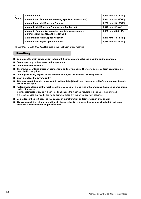| <b>Depth</b> | Main unit only                                                                                           | 1,240 mm (48 13/16")  |
|--------------|----------------------------------------------------------------------------------------------------------|-----------------------|
|              | Main unit and Scanner (when using special scanner stand)                                                 | 1,345 mm (52 31/32")  |
|              | <b>Main unit and Multifunction Finisher</b>                                                              | 1,280 mm (50 13/32")  |
|              | Main unit, Multifunction Finisher, and Folder Unit                                                       | 1,340 mm (52 3/4")    |
|              | Main unit, Scanner (when using special scanner stand),<br><b>Multifunction Finisher, and Folder Unit</b> | $1,405$ mm (55 5/16") |
|              | Main unit and High Capacity Feeder                                                                       | 1,240 mm (48 13/16")  |
|              | Main unit and High Capacity Stacker                                                                      | 1,315 mm (51 25/32")  |

The ComColor GD9630/GD9630R is used in the illustration of this machine.

# <span id="page-11-0"></span>**Handling**

- **Do not use the main power switch to turn off the machine or unplug the machine during operation.**
- **Do not open any of the covers during operation.**
- **Do not move the machine.**
- The machine contains precision components and moving parts. Therefore, do not perform operations not **described in the guides.**
- **Do not place heavy objects on the machine or subject the machine to strong shocks.**
- **Open and close the covers gently.**
- After turning off the main power switch, wait until the [Main Power] lamp goes off before turning on the main **power switch again.**
- Perform head-cleaning if the machine will not be used for a long time or before using the machine after a long **period of non-use.**

Ink may deteriorate or dry up in the ink feed path inside the machine, resulting in clogging of the print head. It is recommended that head-cleaning be performed regularly to prevent this from occurring.

- **Do not touch the print head, as this can result in malfunction or deterioration in print quality.**
- **Always keep all the color ink cartridges in the machine. Do not leave the machine with the ink cartridges removed, even when not using the machine.**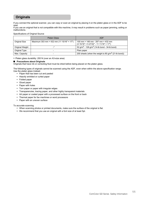# <span id="page-12-0"></span>**Originals**

If you connect the optional scanner, you can copy or scan an original by placing it on the platen glass or in the ADF to be read.

If you use an original that is not compatible with this machine, it may result in problems such as paper jamming, soiling or malfunctions.

Specifications of Original Source

|                 | <b>Platen Glass</b>                                     | <b>ADF</b>                                                                                                |
|-----------------|---------------------------------------------------------|-----------------------------------------------------------------------------------------------------------|
| Original Size   | Maximum 303 mm $\times$ 432 mm (11 15/16" $\times$ 17") | 100 mm $\times$ 148 mm - 297 mm $\times$ 432 mm<br>$(3\ 15/16" \times 5\ 27/32" - 11\ 11/16" \times 17")$ |
| Original Weight |                                                         | 52 g/m <sup>2</sup> - 128 g/m <sup>2</sup> (14-lb bond - 34-lb bond)                                      |
| Original Type   |                                                         | Plain paper                                                                                               |
| Max. Capacity   |                                                         | 200 sheets (when the weight is 80 g/m <sup>2</sup> (21-lb bond))                                          |

\* Platen glass durability: 200 N (over an A3-size area)

#### ■ **Precautions about Originals**

Originals that have ink or correcting fluid must be dried before being placed on the platen glass.

The following types of originals cannot be scanned using the ADF, even when within the above specification range. Use the platen glass instead.

- **•** Paper that has been cut and pasted
- **•** Heavily wrinkled or curled paper
- **•** Folded paper
- **•** Glued paper
- **•** Paper with holes
- **•** Torn paper or paper with irregular edges
- **•** Transparencies, tracing paper, and other highly transparent materials
- **•** Art paper or coated paper with a processed surface on the front or back
- **•** Thermal paper for fax machines or word processors
- **•** Paper with an uneven surface

To accurate scanning

- **•** When scanning photos or printed documents, make sure the surface of the original is flat.
- **•** We recommend that you use an original with a font size of at least 5pt.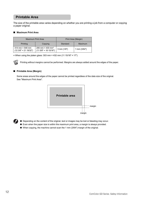# <span id="page-13-0"></span>**Printable Area**

The size of the printable area varies depending on whether you are printing a job from a computer or copying a paper original.

#### ■ **Maximum Print Area**

| <b>Maximum Print Area</b>                              |                                                                     |                 | Print Area (Margin) |
|--------------------------------------------------------|---------------------------------------------------------------------|-----------------|---------------------|
| Printing                                               | Copying                                                             | Standard        | Maximum             |
| $314$ mm $\times$ 548 mm<br>$(123/8" \times 2119/32")$ | 295 mm $\times$ 430 mm <sup>*</sup><br>$(11.5/8" \times 16.15/16")$ | $3$ mm $(1/8")$ | 1 mm $(3/64")$      |

\* When using the platen glass: 303 mm × 432 mm (11 15/16" × 17")



Printing without margins cannot be performed. Margins are always added around the edges of the paper.

#### ■ **Printable Area (Margin)**

Some areas around the edges of the paper cannot be printed regardless of the data size of the original. See "Maximum Print Area".



- Depending on the content of the original, text or images may be lost or bleeding may occur.
	- Even when the paper size is within the maximum print area, a margin is always provided.
	- When copying, the machine cannot scan the 1 mm (3/64") margin of the original.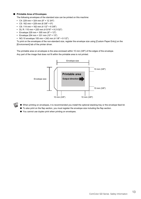#### ■ **Printable Area of Envelopes**

The following envelopes of the standard size can be printed on this machine:

- **•** C4: 229 mm × 324 mm (9" × 12 3/4")
- **•** C5: 162 mm × 229 mm (6 3/8" × 9")
- **•** C6: 114 mm × 162 mm (4 1/2" × 6 3/8")
- **•** DL R: 110 mm × 220 mm (4 5/16" × 8 21/32")
- **•** Envelope 229 mm × 305 mm (9" × 12")
- **•** Envelope 254 mm × 331 mm (10" × 13")
- **•** NO.10 envelope 105 mm × 242 mm (4 1/8" × 9 1/2")

To print on the envelopes of the non-standard size, register the envelope size using [Custom Paper Entry] on the [Environment] tab of the printer driver.

The printable area on envelopes is the area enclosed within 10 mm (3/8") of the edges of the envelope. Any part of the image that does not fit within the printable area is not printed.



- When printing on envelopes, it is recommended you install the optional stacking tray or the envelope feed kit.
- To also print on the flap section, you must register the envelope size including the flap section.
- You cannot use duplex print when printing on envelopes.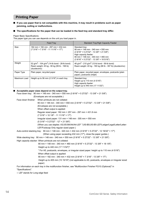# <span id="page-15-0"></span>**Printing Paper**

- If you use paper that is not compatible with this machine, it may result in problems such as paper **jamming, soiling or malfunctions.**
- The specifications for the paper that can be loaded in the feed tray and standard tray differ.

Paper Basic Specifications

The paper type you can use depends on the unit you load paper in.

|              | Feed Tray                                                                                                                          | Standard Tray/High Capacity Feeder                                                                                                                                                                                               |
|--------------|------------------------------------------------------------------------------------------------------------------------------------|----------------------------------------------------------------------------------------------------------------------------------------------------------------------------------------------------------------------------------|
| Size         | 182 mm × 182 mm - 297 mm × 432 mm<br>$(7 \frac{3}{16} \times 7 \frac{3}{16} - 11 \frac{11}{16} \times 17)$                         | Standard tray:<br>90 mm × 148 mm - 340 mm × 550 mm<br>$(3.9/16" \times 5.27/32" - 13.3/8" \times 21.5/8")$<br>High capacity feeder:<br>90 mm × 148 mm - 340 mm × 465 mm<br>$(3.9/16" \times 5.27/32" - 13.3/8" \times 18.5/16")$ |
| Weight       | 52 g/m <sup>2</sup> - 104 g/m <sup>2</sup> (14-lb bond - 28-lb bond)<br>Ream weight: 45 kg - 90 kg (99 lb - 198 lb)<br>(duodecimo) | 46 g/m <sup>2</sup> - 210 g/m <sup>2</sup> (12-lb bond - 56-lb bond)<br>Ream weight: 40 kg - 180 kg (88 lb - 397 lb) (duodecimo)                                                                                                 |
| Paper Type   | Plain paper, recycled paper                                                                                                        | Plain paper, recycled paper, envelopes, postcards (plain<br>paper), postcards (inkjet)                                                                                                                                           |
| Maximum Load | Height up to 56 mm (2 3/16") in each tray                                                                                          | Standard tray:<br>Height up to 110 mm (4 5/16")<br>High capacity feeder:<br>Height up to 440 mm (17 11/32")                                                                                                                      |

#### ■ **Acceptable paper sizes depend on the output tray.**

Face down tray: 90 mm × 148 mm - 340 mm × 550 mm (3 9/16" × 5 27/32" - 13 3/8" × 21 5/8") (Envelopes are not acceptable.)

Face down finisher: When printouts are not collated:

90 mm × 148 mm - 340 mm × 550 mm (3 9/16" × 5 27/32" - 13 3/8" × 21 5/8") (Envelopes are not acceptable.) When offset output is applied: Regular sized paper: 182 mm × 257 mm - 297 mm × 431.8 mm (7 3/16" × 10 1/8" - 11 11/16" × 17") Irregular sized paper: 131 mm × 148 mm - 305 mm × 550 mm (5 3/16" × 5 27/32" - 12" × 21 5/8")

(When you use staples: A3/JIS-B4/A4/A4-LEF 1/JIS-B5/JIS-B5-LEF/Ledger/Legal/Letter/Letter-LEF/Foolscap Only regular sized paper.)

Auto-control stacking tray: 90 mm × 148 mm - 320 mm × 432 mm (3 9/16" × 5 27/32" - 12 19/32" × 17") (When using paper exceeding 432 mm (17"), close the paper guides.)

Wide stacking tray: 90 mm × 148 mm - 340 mm × 550 mm (3 9/16" × 5 27/32" - 13 3/8" × 21 5/8")

High capacity stacker: When printouts are not collated:

90 mm × 148 mm - 340 mm × 460 mm (3 9/16" × 5 27/32" - 13 3/8" × 18 1/8") Height up to 440 mm (17 11/32")\*

\* For A5, postcards, envelopes, or irregular sized paper: height up to 110 mm (4 5/16")

When offset output is applied:

90 mm × 182 mm - 340 mm × 432 mm (3 9/16" × 7 3/16" - 13 3/8" × 17")

 Height up to 405 mm (15 15/16") (not applicable to A5, postcards, envelopes or irregular sized paper)

For information on each tray in the multifunction finisher, see "Multifunction Finisher FG10 (Optional)" in "Specifications".

1 LEF stands for Long edge feed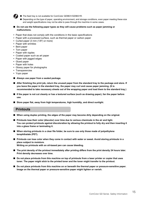

- The feed tray is not available for ComColor GD9631/GD9631R.
	- Depending on the type of paper, operating environment, and storage conditions, even paper meeting these size and weight specifications may not be able to pass through the machine in some cases.
- Do not use the following paper types as they will cause problems such as paper jamming or **malfunctions.**
- **•** Paper that does not comply with the conditions in the basic specifications
- **•** Paper with a processed surface, such as thermal paper or carbon paper
- **•** Curled paper (3 mm (1/8") or more)
- **•** Paper with wrinkles
- **•** Bent paper
- **•** Torn paper
- **•** Paper with ripples
- **•** Coated paper such as art paper
- **•** Paper with jagged edges
- **•** Glued paper
- **•** Paper with holes
- **•** Glossy paper for photographs
- **•** Transparencies
- **•** Yupo paper
- Always use paper from a sealed package.
- After finishing the print job, return the unused paper from the standard tray to the package and store. If **you leave the paper in the standard tray, the paper may curl and cause paper jamming. (It is recommended to take necessary sheets out of the wrapping paper and load them to the standard tray.)**
- If the paper is not cut cleanly or has a textured surface (such as drawing paper), fan the paper before **use.**
- Store paper flat, away from high temperatures, high humidity, and direct sunlight.

# <span id="page-16-0"></span>**Printouts**

- When using duplex printing, the edges of the paper may become dirty depending on the original.
- **Printouts lose their color (discolor) over time due to various chemicals in the air and light. You can protect printouts against discoloration by allowing the printout to fully dry and then inserting it into a glass frame or laminating it.**
- When storing printouts in a clear file folder, be sure to use only those made of polyethylene **terephthalate (PET).**
- **Printouts can lose color when they come in contact with water or sweat. Avoid storing printouts in a place subject to moisture. Writing on printouts with an oil-based pen can cause bleeding.**
- **The print density of the printout immediately after printing differs from the print density 24 hours later. Print density decreases over time.**
- **Do not place printouts from this machine on top of printouts from a laser printer or copier that uses toner. The paper might stick to the printed toner and the toner might transfer to the printout.**
- **Do not place printouts from this machine on or beneath the thermal paper or pressure-sensitive paper. Image on the thermal paper or pressure-sensitive paper might lighten or vanish.**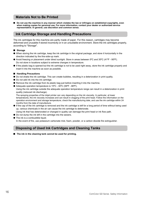# <span id="page-17-0"></span>**Materials Not to Be Printed**

■ **Do not use the machine in any manner which violates the law or infringes on established copyrights, even when making copies for personal use. For more information, contact your dealer or authorized service representative. In general, use discretion and common sense.**

# <span id="page-17-1"></span>**Ink Cartridge Storage and Handling Precautions**

The ink cartridges for this machine are partly made of paper. For this reason, cartridges may become deformed and unusable if stored incorrectly or in an unsuitable environment. Store the ink cartridges properly, according to "Storage".

#### ■ **Storage**

- When storing the ink cartridge, keep the ink cartridge in the original package, and store it horizontally in the direction indicated by the this-side-up mark.
- Avoid freezing or placement under direct sunlight. Store in areas between 5°C and 35°C (41°F 95°F). Do not store in locations subject to extreme changes in temperature.
- If the plastic bag is opened but the ink cartridge is not to be used right away, store the ink cartridge properly and insert it into the machine as soon as possible.

#### ■ **Handling Precautions**

- Do not shake the ink cartridge. This can create bubbles, resulting in a deterioration in print quality.
- Do not add ink into the ink cartridge.
- Remove the ink cartridge from its plastic bag just before inserting it into the machine.
- Adequate operation temperature is 15°C 30°C (59°F 86°F).

Using the ink cartridge outside the adequate operation temperature range can result in a deterioration in print quality (reduced ink discharge).

The spraying properties of the inkiet printer can vary depending on the ink viscosity. In particular, at lower temperatures, the ink viscosity increases and can result in clogging of the print head. Follow the information on the operation environment and storage temperature, check the manufacturing date, and use the ink cartridge within 24 months from the date of manufacture.

- If the cap of the ink cartridge is removed and the ink cartridge is left for a long period of time without being used up, various chemicals in the air can cause the ink cartridge to deteriorate.
- Using ink that has deteriorated or changed in quality can damage the print head or ink flow path.
- Do not dump the ink left in the cartridge into the sewers.
- The ink is a combustible liquid. In the event of fire, use potassium carbonate mist, foam, powder, or a carbon dioxide fire extinguisher.

# <span id="page-17-2"></span>**Disposing of Used Ink Cartridges and Cleaning Tanks**

■ The ink in the cleaning tank cannot be used for printing.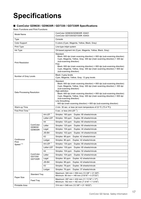# <span id="page-18-0"></span>**Specifications**

## ■ **ComColor GD9630 / GD9630R / GD7330 / GD7330R Specifications**

Basic Functions and Print Functions

| Model Name                    |                                |                | ComColor GD9630/GD9630R: 63A01<br>ComColor GD7330/GD7330R: 63A03                                                                                                                                                                                                                                                                                                                                                                                                                                    |  |
|-------------------------------|--------------------------------|----------------|-----------------------------------------------------------------------------------------------------------------------------------------------------------------------------------------------------------------------------------------------------------------------------------------------------------------------------------------------------------------------------------------------------------------------------------------------------------------------------------------------------|--|
| <b>Type</b>                   |                                |                | Console                                                                                                                                                                                                                                                                                                                                                                                                                                                                                             |  |
| Color Support                 |                                |                | 5 colors (Cyan, Magenta, Yellow, Black, Gray)                                                                                                                                                                                                                                                                                                                                                                                                                                                       |  |
| Print Type                    |                                |                | Line-type inkjet system                                                                                                                                                                                                                                                                                                                                                                                                                                                                             |  |
| Ink Type                      |                                |                | Oil-based pigment ink (Cyan, Magenta, Yellow, Black, Gray)                                                                                                                                                                                                                                                                                                                                                                                                                                          |  |
| <b>Print Resolution</b>       |                                |                | Standard<br>Black: 600 dpi (main scanning direction) × 600 dpi (sub-scanning direction)<br>Cyan, Magenta, Yellow, Gray: 300 dpi (main scanning direction) × 300 dpi<br>(sub-scanning direction)<br>Fine<br>Black: 600 dpi (main scanning direction) × 600 dpi (sub-scanning direction)<br>Cyan, Magenta, Yellow, Gray: 300 dpi (main scanning direction) × 600 dpi<br>(sub-scanning direction)                                                                                                      |  |
| Number of Gray Levels         |                                |                | Black: 4 gray levels<br>Cyan, Magenta, Yellow, Gray: 12 gray levels                                                                                                                                                                                                                                                                                                                                                                                                                                 |  |
| Data Processing Resolution    |                                |                | Standard<br>Black: 600 dpi (main scanning direction) × 600 dpi (sub-scanning direction)<br>Cyan, Magenta, Yellow, Gray: 300 dpi (main scanning direction) × 300 dpi<br>(sub-scanning direction)<br>High-definition<br>Black: 600 dpi (main scanning direction) × 600 dpi (sub-scanning direction)<br>Cyan, Magenta, Yellow, Gray: 300 dpi (main scanning direction) × 600 dpi<br>(sub-scanning direction)<br>Line Smoothing<br>600 dpi (main scanning direction) × 600 dpi (sub-scanning direction) |  |
| Warm-up Time                  |                                |                | 2 min. 30 sec. or less (at room temperature of 23 °C (73.4 °F))                                                                                                                                                                                                                                                                                                                                                                                                                                     |  |
| First Print Time <sup>1</sup> |                                |                | 5 sec. or less (A4-LEF $^7$ )                                                                                                                                                                                                                                                                                                                                                                                                                                                                       |  |
|                               | ComColor<br>GD9630/<br>GD9630R | A4-LEF $^7$    | Simplex: 160 ppm<br>Duplex: 80 sheets/minute                                                                                                                                                                                                                                                                                                                                                                                                                                                        |  |
|                               |                                | Letter-LEF     | Simplex: 160 ppm<br>Duplex: 80 sheets/minute                                                                                                                                                                                                                                                                                                                                                                                                                                                        |  |
|                               |                                | A4             | Simplex: 120 ppm<br>Duplex: 60 sheets/minute                                                                                                                                                                                                                                                                                                                                                                                                                                                        |  |
|                               |                                | Letter         | Simplex: 120 ppm<br>Duplex: 60 sheets/minute                                                                                                                                                                                                                                                                                                                                                                                                                                                        |  |
|                               |                                | Legal          | Simplex: 104 ppm<br>Duplex: 44 sheets/minute                                                                                                                                                                                                                                                                                                                                                                                                                                                        |  |
|                               |                                | JIS-B4         | Simplex: 102 ppm<br>Duplex: 44 sheets/minute                                                                                                                                                                                                                                                                                                                                                                                                                                                        |  |
|                               |                                | A3             | Simplex: 88 ppm<br>Duplex: 42 sheets/minute                                                                                                                                                                                                                                                                                                                                                                                                                                                         |  |
| Continuous<br>Print           |                                | Ledger         | Simplex: 86 ppm<br>Duplex: 42 sheets/minute                                                                                                                                                                                                                                                                                                                                                                                                                                                         |  |
| Speed $26$                    |                                | A4-LEF $^7$    | Simplex: 130 ppm<br>Duplex: 65 sheets/minute                                                                                                                                                                                                                                                                                                                                                                                                                                                        |  |
|                               |                                | Letter-LEF     | Simplex: 130 ppm<br>Duplex: 65 sheets/minute                                                                                                                                                                                                                                                                                                                                                                                                                                                        |  |
|                               |                                | A4             | Simplex: 104 ppm<br>Duplex: 52 sheets/minute                                                                                                                                                                                                                                                                                                                                                                                                                                                        |  |
|                               | ComColor                       | Letter         | Simplex: 104 ppm<br>Duplex: 52 sheets/minute                                                                                                                                                                                                                                                                                                                                                                                                                                                        |  |
|                               | GD7330/<br>GD7330R             | Legal          | Simplex: 90 ppm<br>Duplex: 42 sheets/minute                                                                                                                                                                                                                                                                                                                                                                                                                                                         |  |
|                               |                                | JIS-B4         | Simplex: 88 ppm<br>Duplex: 42 sheets/minute                                                                                                                                                                                                                                                                                                                                                                                                                                                         |  |
|                               |                                | A <sub>3</sub> | Simplex: 78 ppm<br>Duplex: 38 sheets/minute                                                                                                                                                                                                                                                                                                                                                                                                                                                         |  |
|                               |                                | Ledger         | Simplex: 76 ppm<br>Duplex: 37 sheets/minute                                                                                                                                                                                                                                                                                                                                                                                                                                                         |  |
| <b>Standard Tray</b>          |                                |                | Maximum: 340 mm × 550 mm (13 3/8" × 21 5/8")<br>Minimum: 90 mm × 148 mm (3 9/16" × 5 27/32")                                                                                                                                                                                                                                                                                                                                                                                                        |  |
| Paper Size                    | Feed Tray                      |                | Maximum: 297 mm × 432 mm (11 11/16" × 17")<br>Minimum: 182 mm × 182 mm (7 3/16" × 7 3/16")                                                                                                                                                                                                                                                                                                                                                                                                          |  |
| Printable Area                |                                |                | 314 mm × 548 mm (12 3/8" × 21 19/32")                                                                                                                                                                                                                                                                                                                                                                                                                                                               |  |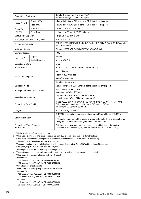| Guaranteed Print Area <sup>3</sup>                   |                                 | Standard: Margin width of 3 mm (1/8")<br>Maximum: Margin width of 1 mm (3/64")                                                                                                                                                        |
|------------------------------------------------------|---------------------------------|---------------------------------------------------------------------------------------------------------------------------------------------------------------------------------------------------------------------------------------|
| Paper Weight                                         | <b>Standard Tray</b>            | 46 g/m <sup>2</sup> to 210 g/m <sup>2</sup> (12-lb bond to 56-lb bond) (plain paper)                                                                                                                                                  |
|                                                      | Feed Tray                       | 52 g/m <sup>2</sup> to 104 g/m <sup>2</sup> (14-lb bond to 28-lb bond) (plain paper)                                                                                                                                                  |
| Paper Tray                                           | <b>Standard Tray</b>            | Height up to 110 mm (4 5/16")                                                                                                                                                                                                         |
| Capacity                                             | Feed Tray                       | Height up to 56 mm (2 3/16") (3 trays)                                                                                                                                                                                                |
| <b>Output Tray Capacity</b>                          |                                 | Height up to 60 mm (2 3/8")                                                                                                                                                                                                           |
|                                                      | PDL (Page Description Language) | RISORINC/C IV                                                                                                                                                                                                                         |
| <b>Supported Protocols</b>                           |                                 | TCP/IP, HTTP, HTTPs (TLS), DHCP, ftp, lpr, IPP, SNMP, Port9100 (RAW port),<br>IPv4, IPv6, IPSec                                                                                                                                       |
| Network Interface                                    |                                 | Ethernet 1000BASE-T/100BASE-TX/10BASE-T (2ch)                                                                                                                                                                                         |
| Memory Capacity                                      |                                 | 4 GB                                                                                                                                                                                                                                  |
| Hard Disk <sup>4</sup>                               | Capacity                        | 500 GB                                                                                                                                                                                                                                |
|                                                      | Available Space                 | Approx. 430 GB                                                                                                                                                                                                                        |
| <b>Operating System</b>                              |                                 | Linux                                                                                                                                                                                                                                 |
| Power Source                                         |                                 | AC 100 V - 240 V, 50 Hz - 60 Hz, 12.0 A - 6.0 A                                                                                                                                                                                       |
| Power Consumption                                    |                                 | Max. 1,200 W                                                                                                                                                                                                                          |
|                                                      |                                 | Ready <sup>5</sup> : 150 W or less                                                                                                                                                                                                    |
|                                                      |                                 | Sleep <sup>8</sup> : 4 W or less                                                                                                                                                                                                      |
|                                                      |                                 | Stand-by: 0.5 W or less                                                                                                                                                                                                               |
| <b>Operating Noise</b>                               |                                 | Max. 66 dB (A) A4-LEF (Simplex) at the maximum print speed                                                                                                                                                                            |
| A-weighted Sound Power Level <sup>9</sup>            |                                 | Max. 75 dB A4-LEF (Simplex)<br>Monochrome/Color: 160 ppm                                                                                                                                                                              |
| <b>Operating Environment</b>                         |                                 | Temperature: 15 °C to 30 °C (59 °F to 86 °F)<br>Humidity: 40% to 70% RH (non-condensing)                                                                                                                                              |
| Dimensions ( $W \times D \times H$ )                 |                                 | In use: 1,220 mm × 725 mm × 1,160 mm (48 1/32" × 28 9/16" × 45 11/16")<br>With cover and tray closed: 1,160 mm × 705 mm × 1,015 mm<br>(45 11/16" × 27 25/32" × 39 31/32")                                                             |
| Weight                                               |                                 | Approx. 175 kg (386 lb)                                                                                                                                                                                                               |
| Safety Information                                   |                                 | IEC60950-1 compliant, Indoor, pollution degree 2*, At altitudes of 2,000 m or<br>lower<br>* The pollution degree of the usage environment due to dirt and dust in the air.<br>Degree "2" corresponds to a general indoor environment. |
| Dimensions When Operating<br>$(W \times D \times H)$ |                                 | With the front cover open and the operation panel in the upright position:<br>1,220 mm × 1,240 mm × 1,160 mm (48 1/32" × 48 13/16" × 45 11/16")                                                                                       |

1 Within 10 minutes after the last print job

2 When using plain paper and recycled paper (85 g/m<sup>2</sup> (23-lb bond)), and standard density setting Chart used: Print measurement pattern [Color measurement sample 2 (JEITA standard pattern J6)]

- 3 The margin when printing envelopes is 10 mm (3/8"). The guaranteed area when printing images is the area enclosed within 3 mm (1/8") of the edges of the paper.
- 4 One gigabyte (GB) is calculated as 1 billion bytes.
- 5 Without printing and temperature adjustment operation
- 6 The continuous print speed varies depending on the type of optional output equipment connected. When using the face down finisher (A4-LEF Simplex) Without offset:
	- 160 sheets/minute (ComColor GD9630/GD9630R)

130 sheets/minute (ComColor GD7330/GD7330R)

With offset: 125 sheets/minute

When using the high capacity stacker (A4-LEF Simplex) Without offset:

160 sheets/minute (ComColor GD9630/GD9630R) 130 sheets/minute (ComColor GD7330/GD7330R)

With offset:

110 sheets/minute (ComColor GD9630/GD9630R) 95 sheets/minute (ComColor GD7330/GD7330R)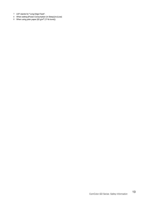- 7 LEF stands for "Long Edge Feed".
- 8 When setting [Power Consumption (in Sleep)] to [Low]
- 9 When using plain paper (62 g/m<sup>2</sup> (17-lb bond))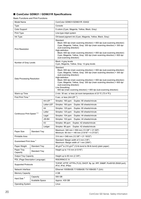# ■ **ComColor GD9631 / GD9631R Specifications**

Basic Functions and Print Functions

| Model Name                                |                      |                | ComColor GD9631/GD9631R: 63A02                                                                                                                                                                                                                                                                                                                                                                                                                                                                      |  |
|-------------------------------------------|----------------------|----------------|-----------------------------------------------------------------------------------------------------------------------------------------------------------------------------------------------------------------------------------------------------------------------------------------------------------------------------------------------------------------------------------------------------------------------------------------------------------------------------------------------------|--|
| <b>Type</b>                               |                      |                | Console                                                                                                                                                                                                                                                                                                                                                                                                                                                                                             |  |
| Color Support                             |                      |                | 5 colors (Cyan, Magenta, Yellow, Black, Gray)                                                                                                                                                                                                                                                                                                                                                                                                                                                       |  |
| Print Type                                |                      |                | Line-type inkjet system                                                                                                                                                                                                                                                                                                                                                                                                                                                                             |  |
| Ink Type                                  |                      |                | Oil-based pigment ink (Cyan, Magenta, Yellow, Black, Gray)                                                                                                                                                                                                                                                                                                                                                                                                                                          |  |
| <b>Print Resolution</b>                   |                      |                | Standard<br>Black: 600 dpi (main scanning direction) × 600 dpi (sub-scanning direction)<br>Cyan, Magenta, Yellow, Gray: 300 dpi (main scanning direction) × 300 dpi<br>(sub-scanning direction)<br>High-definition<br>Black: 600 dpi (main scanning direction) × 600 dpi (sub-scanning direction)<br>Cyan, Magenta, Yellow, Gray: 300 dpi (main scanning direction) × 600 dpi<br>(sub-scanning direction)                                                                                           |  |
| Number of Gray Levels                     |                      |                | Black: 4 gray levels<br>Cyan, Magenta, Yellow, Gray: 12 gray levels                                                                                                                                                                                                                                                                                                                                                                                                                                 |  |
| Data Processing Resolution                |                      |                | Standard<br>Black: 600 dpi (main scanning direction) × 600 dpi (sub-scanning direction)<br>Cyan, Magenta, Yellow, Gray: 300 dpi (main scanning direction) × 300 dpi<br>(sub-scanning direction)<br>High-definition<br>Black: 600 dpi (main scanning direction) × 600 dpi (sub-scanning direction)<br>Cyan, Magenta, Yellow, Gray: 300 dpi (main scanning direction) × 600 dpi<br>(sub-scanning direction)<br>Line Smoothing<br>600 dpi (main scanning direction) × 600 dpi (sub-scanning direction) |  |
| Warm-up Time                              |                      |                | 2 min. 30 sec. or less (at room temperature of 23 °C (73.4 °F))                                                                                                                                                                                                                                                                                                                                                                                                                                     |  |
| First Print Time <sup>1</sup>             |                      |                | 5 sec. or less (A4-LEF $^7$ )                                                                                                                                                                                                                                                                                                                                                                                                                                                                       |  |
|                                           |                      | A4-LEF $^7$    | Simplex: 160 ppm<br>Duplex: 80 sheets/minute                                                                                                                                                                                                                                                                                                                                                                                                                                                        |  |
|                                           |                      | Letter-LEF     | Simplex: 160 ppm<br>Duplex: 80 sheets/minute                                                                                                                                                                                                                                                                                                                                                                                                                                                        |  |
|                                           |                      | A4             | Simplex: 120 ppm<br>Duplex: 60 sheets/minute                                                                                                                                                                                                                                                                                                                                                                                                                                                        |  |
| Continuous Print Speed 26                 |                      | Letter         | Simplex: 120 ppm<br>Duplex: 60 sheets/minute                                                                                                                                                                                                                                                                                                                                                                                                                                                        |  |
|                                           |                      | Legal          | Simplex: 104 ppm<br>Duplex: 44 sheets/minute                                                                                                                                                                                                                                                                                                                                                                                                                                                        |  |
|                                           |                      | JIS-B4         | Simplex: 102 ppm<br>Duplex: 44 sheets/minute                                                                                                                                                                                                                                                                                                                                                                                                                                                        |  |
|                                           |                      | A <sub>3</sub> | Simplex: 88 ppm<br>Duplex: 42 sheets/minute                                                                                                                                                                                                                                                                                                                                                                                                                                                         |  |
|                                           |                      | Ledger         | Simplex: 86 ppm Duplex: 42 sheets/minute                                                                                                                                                                                                                                                                                                                                                                                                                                                            |  |
| Paper Size                                | Standard Tray        |                | Maximum: 340 mm × 550 mm (13 3/8" × 21 5/8")<br>Minimum: 90 mm × 148 mm (3 9/16" × 5 27/32")                                                                                                                                                                                                                                                                                                                                                                                                        |  |
| Printable Area                            |                      |                | 314 mm × 548 mm (12 3/8" × 21 19/32")                                                                                                                                                                                                                                                                                                                                                                                                                                                               |  |
| Guaranteed Print Area <sup>3</sup>        |                      |                | Standard: Margin width of 3 mm (1/8")<br>Maximum: Margin width of 1 mm (3/64")                                                                                                                                                                                                                                                                                                                                                                                                                      |  |
| Paper Weight                              | <b>Standard Tray</b> |                | 46 g/m <sup>2</sup> to 210 g/m <sup>2</sup> (12-lb bond to 56-lb bond) (plain paper)                                                                                                                                                                                                                                                                                                                                                                                                                |  |
| Paper Tray<br>Capacity                    | <b>Standard Tray</b> |                | Height up to 110 mm (4 5/16")                                                                                                                                                                                                                                                                                                                                                                                                                                                                       |  |
| <b>Output Tray Capacity</b>               |                      |                | Height up to 60 mm (2 3/8")                                                                                                                                                                                                                                                                                                                                                                                                                                                                         |  |
| PDL (Page Description Language)           |                      |                | RISORINC/C IV                                                                                                                                                                                                                                                                                                                                                                                                                                                                                       |  |
| <b>Supported Protocols</b>                |                      |                | TCP/IP, HTTP, HTTPs (TLS), DHCP, ftp, lpr, IPP, SNMP, Port9100 (RAW port),<br>IPv4, IPv6, IPSec                                                                                                                                                                                                                                                                                                                                                                                                     |  |
| Network Interface                         |                      |                | Ethernet 1000BASE-T/100BASE-TX/10BASE-T (2ch)                                                                                                                                                                                                                                                                                                                                                                                                                                                       |  |
| Memory Capacity                           |                      |                | 4 GB                                                                                                                                                                                                                                                                                                                                                                                                                                                                                                |  |
|                                           | Capacity             |                | 500 GB                                                                                                                                                                                                                                                                                                                                                                                                                                                                                              |  |
| Hard Disk <sup>4</sup><br>Available Space |                      |                | Approx. 430 GB                                                                                                                                                                                                                                                                                                                                                                                                                                                                                      |  |
| <b>Operating System</b>                   |                      |                | Linux                                                                                                                                                                                                                                                                                                                                                                                                                                                                                               |  |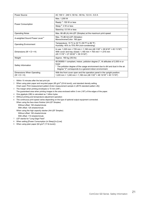| Power Source                                         | AC 100 V - 240 V, 50 Hz - 60 Hz, 12.0 A - 6.0 A                                                                                                                                                                                                    |
|------------------------------------------------------|----------------------------------------------------------------------------------------------------------------------------------------------------------------------------------------------------------------------------------------------------|
|                                                      | Max. 1,200 W                                                                                                                                                                                                                                       |
| Power Consumption                                    | Ready $5:150$ W or less                                                                                                                                                                                                                            |
|                                                      | Sleep $8:4$ W or less                                                                                                                                                                                                                              |
|                                                      | Stand-by: 0.5 W or less                                                                                                                                                                                                                            |
| <b>Operating Noise</b>                               | Max. 66 dB (A) A4-LEF (Simplex) at the maximum print speed                                                                                                                                                                                         |
| A-weighted Sound Power Level <sup>9</sup>            | Max. 75 dB A4-LEF (Simplex)<br>Monochrome/Color: 160 ppm                                                                                                                                                                                           |
| <b>Operating Environment</b>                         | Temperature: 15 °C to 30 °C (59 °F to 86 °F)<br>Humidity: 40% to 70% RH (non-condensing)                                                                                                                                                           |
| Dimensions ( $W \times D \times H$ )                 | In use: 1,220 mm × 725 mm × 1,160 mm (48 1/32" × 28 9/16" × 45 11/16")<br>With cover and tray closed: 1,160 mm $\times$ 705 mm $\times$ 1,015 mm<br>(45 11/16" × 27 25/32" × 39 31/32")                                                            |
| Weight                                               | Approx. 160 kg (353 lb)                                                                                                                                                                                                                            |
| Safety Information                                   | IEC60950-1 compliant, Indoor, pollution degree 2 <sup>*</sup> , At altitudes of 2,000 m or<br>lower<br>* The pollution degree of the usage environment due to dirt and dust in the air.<br>Degree "2" corresponds to a general indoor environment. |
| Dimensions When Operating<br>$(W \times D \times H)$ | With the front cover open and the operation panel in the upright position:<br>1,220 mm × 1,240 mm × 1,160 mm (48 1/32" × 48 13/16" × 45 11/16")                                                                                                    |

1 Within 10 minutes after the last print job

2 When using plain paper and recycled paper (85 g/m<sup>2</sup> (23-lb bond)), and standard density setting Chart used: Print measurement pattern [Color measurement sample 2 (JEITA standard pattern J6)]

3 The margin when printing envelopes is 10 mm (3/8").

The guaranteed area when printing images is the area enclosed within 3 mm (1/8") of the edges of the paper.

- 4 One gigabyte (GB) is calculated as 1 billion bytes.
- 5 Without printing and temperature adjustment operation

6 The continuous print speed varies depending on the type of optional output equipment connected.

When using the face down finisher (A4-LEF Simplex) Without offset: 160 sheets/minute

With offset: 125 sheets/minute

When using the high capacity stacker (A4-LEF Simplex)

Without offset: 160 sheets/minute

With offset: 110 sheets/minute

- 7 LEF stands for "Long Edge Feed".
- 8 When setting [Power Consumption (in Sleep)] to [Low]
- 9 When using plain paper (62 g/m<sup>2</sup> (17-lb bond))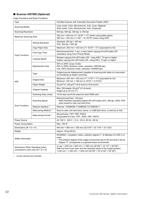# ■ **Scanner HS7000 (Optional)**

Copy Functions and Scan Functions

| Type                                                                                 |                                 | Flat Bed Scanner with Automatic Document Feeder (ADF)                                                                                                                                                                                 |
|--------------------------------------------------------------------------------------|---------------------------------|---------------------------------------------------------------------------------------------------------------------------------------------------------------------------------------------------------------------------------------|
| <b>Scanning Modes</b>                                                                |                                 | Copy mode: Color, Monochrome, Auto, Cyan, Magenta<br>Scan mode: Color, Monochrome, Auto, Grayscale                                                                                                                                    |
| <b>Scanning Resolution</b>                                                           |                                 | 600 dpi, 400 dpi, 300 dpi, or 200 dpi                                                                                                                                                                                                 |
| Maximum Scanning Area                                                                |                                 | 303 mm × 432 mm (11 15/16" × 17") (when using platen glass)<br>295 mm × 430 mm (11 5/8" × 16 15/16") (when using ADF)                                                                                                                 |
|                                                                                      | <b>Writing Resolution</b>       | Standard: 300 dpi × 300 dpi<br>Fine: 300 dpi × 600 dpi                                                                                                                                                                                |
|                                                                                      | Copy Paper Size                 | Maximum: 303 mm × 432 mm (11 15/16" × 17") (equivalent to A3)                                                                                                                                                                         |
| Copy Functions                                                                       | First Copy Time                 | Monochrome/Color: 7 sec. or less (when copying A4-LEF/Letter-LEF<br>orientation using Color Priority Mode)                                                                                                                            |
|                                                                                      | <b>Copying Speed</b>            | Simplex copying (A4-LEF/Letter-LEF, using ADF): 70 ppm or higher<br>Duplex copying (A4-LEF/Letter-LEF, using ADF): 70 ppm or higher                                                                                                   |
|                                                                                      | <b>Reproduction Size</b>        | 50% to 200% (Copy mode)<br>50% to 200% (Scanner mode, resolution: 200/300 dpi),<br>only 100% (Scanner mode, resolution: 400/600 dpi)                                                                                                  |
|                                                                                      | <b>Type</b>                     | Original source displacement (capable of scanning both sides of a document<br>by simultaneous duplex scanning)                                                                                                                        |
| <b>ADF</b>                                                                           | <b>Original Size</b>            | Maximum: 297 mm × 432 mm (11 11/16" × 17") (equivalent to A3)<br>Minimum: 100 mm × 148 mm (3 15/16" × 5 27/32")                                                                                                                       |
|                                                                                      | Paper Weight                    | 52 g/m <sup>2</sup> to 128 g/m <sup>2</sup> (14-lb bond to 34-lb bond)                                                                                                                                                                |
|                                                                                      | <b>Original Capacity</b>        | Max. 200 sheets: 80 $g/m^2$ (21-lb bond)<br>Height up to 25 mm (1")                                                                                                                                                                   |
|                                                                                      | Scanning Gray Levels            | 10-bit input and 8-bit output for each RGB color                                                                                                                                                                                      |
|                                                                                      | <b>Scanning Speed</b>           | Monochrome/Color: 100 ppm<br>RISO KAGAKU standard original (A4-LEF/Letter-LEF), 300 dpi, JPEG, PDF,<br>when stored to main unit hard drive                                                                                            |
| <b>Scan Functions</b>                                                                | Network Interface 1             | Ethernet 1000BASE-T/100BASE-TX/10BASE-T                                                                                                                                                                                               |
|                                                                                      | Data-saving Method 1            | Save to main unit hard drive, server, or USB flash drive, or send by e-mail                                                                                                                                                           |
|                                                                                      | Data-saving Format <sup>1</sup> | Monochrome: TIFF, PDF, PDF/A<br>Grayscale/Full Color: TIFF, JPEG, PDF, PDF/A                                                                                                                                                          |
| Power Source                                                                         |                                 | AC 100 V - 240 V, 1.2 A - 0.6 A, 50 Hz - 60 Hz                                                                                                                                                                                        |
| Power Consumption                                                                    |                                 | Max. 100 W                                                                                                                                                                                                                            |
| Dimensions ( $W \times D \times H$ )                                                 |                                 | 640 mm × 560 mm × 255 mm (25 3/16" × 22 1/16" × 10 1/32")                                                                                                                                                                             |
| Weight                                                                               |                                 | Approx. 25 kg (55 lb)                                                                                                                                                                                                                 |
| Safety Information                                                                   |                                 | IEC60950-1 compliant, Indoor, pollution degree 2*, At altitudes of 2,000 m or<br>lower<br>* The pollution degree of the usage environment due to dirt and dust in the air.<br>Degree "2" corresponds to a general indoor environment. |
| Dimensions When Operating (when<br>connected to main unit) ( $W \times D \times H$ ) |                                 | In use: 1,235 mm × 825 mm × 1,260 mm (48 5/8" × 32 1/2" × 49 5/8")<br>With the front cover open and the operation panel in the upright position:<br>1,235 mm × 1,345 mm × 1,635 mm (48 5/8" × 52 31/32" × 64 3/8")                    |

1 Via the internal host controller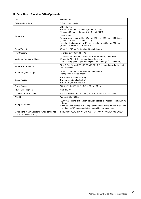# ■ **Face Down Finisher G10 (Optional)**

| <b>Type</b>                                                                          | <b>External Unit</b>                                                                                                                                                                                                                              |
|--------------------------------------------------------------------------------------|---------------------------------------------------------------------------------------------------------------------------------------------------------------------------------------------------------------------------------------------------|
| <b>Finishing Functions</b>                                                           | Offset output, staple                                                                                                                                                                                                                             |
|                                                                                      | Without offset<br>Maximum: 340 mm × 550 mm (13 3/8" × 21 5/8")<br>Minimum: 90 mm × 148 mm (3 9/16" × 5 27/32")                                                                                                                                    |
| Paper Size                                                                           | Offset output<br>Regular-sized paper width: 182 mm × 257 mm - 297 mm × 431.8 mm<br>(7 3/16" × 10 1/8" - 11 11/16" × 17")<br>Irregular-sized paper width: 131 mm × 148 mm - 305 mm × 550 mm<br>$(5\ 3/16" \times 5\ 27/32" - 12" \times 21\ 5/8")$ |
| Paper Weight                                                                         | 46 g/m <sup>2</sup> to 210 g/m <sup>2</sup> (12-lb bond to 56-lb bond)                                                                                                                                                                            |
| <b>Tray Capacity</b>                                                                 | Height up to 108 mm (4 1/4")                                                                                                                                                                                                                      |
| Maximum Number of Staples                                                            | 50 sheets* A4, A4-LEF, JIS-B5, JIS-B5-LEF, Letter, Letter-LEF<br>25 sheets* A3, JIS-B4, Ledger, Legal, Foolscap<br>* When using plain paper and recycled paper (85 g/m <sup>2</sup> (23-lb bond))                                                 |
| Paper Size for Staple                                                                | A3, JIS-B4, A4, A4-LEF, JIS-B5, JIS-B5-LEF, Ledger, Legal, Letter, Letter-<br>LEF, Foolscap                                                                                                                                                       |
| Paper Weight for Staple                                                              | 52 g/m <sup>2</sup> to 210 g/m <sup>2</sup> (14-lb bond to 56-lb bond)<br>(plain paper, recycled paper)                                                                                                                                           |
| <b>Staple Position</b>                                                               | 1 at front side (angle stapling)<br>1 at rear side (angle stapling)<br>2 at center (parallel stapling)                                                                                                                                            |
| Power Source                                                                         | AC 100 V - 240 V, 1.2 A - 0.6 A, 50 Hz - 60 Hz                                                                                                                                                                                                    |
| Power Consumption                                                                    | Max. 110 W                                                                                                                                                                                                                                        |
| Dimensions ( $W \times D \times H$ )                                                 | 760 mm × 680 mm × 585 mm (29 15/16" × 26 25/32" × 23 1/32")                                                                                                                                                                                       |
| Weight                                                                               | Approx. 30 kg (66 lb)                                                                                                                                                                                                                             |
| Safety Information                                                                   | IEC60950-1 compliant, Indoor, pollution degree 2*, At altitudes of 2,000 m<br>or lower<br>* The pollution degree of the usage environment due to dirt and dust in the<br>air. Degree "2" corresponds to a general indoor environment.             |
| Dimensions When Operating (when connected<br>to main unit) ( $W \times D \times H$ ) | 1,440 mm × 1,240 mm × 1,345 mm (56 11/16" × 48 13/16" × 52 31/32")                                                                                                                                                                                |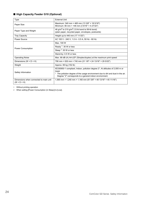# ■ **High Capacity Feeder G10 (Optional)**

| Type                                                              | <b>External Unit</b>                                                                                                                                                                                                                               |
|-------------------------------------------------------------------|----------------------------------------------------------------------------------------------------------------------------------------------------------------------------------------------------------------------------------------------------|
| Paper Size                                                        | Maximum: 340 mm × 465 mm (13 3/8" × 18 5/16")<br>Minimum: 90 mm × 148 mm (3 9/16" × 5 27/32")                                                                                                                                                      |
| Paper Type and Weight                                             | 46 g/m <sup>2</sup> to 210 g/m <sup>2</sup> (12-lb bond to 56-lb bond)<br>(plain paper, recycled paper, envelopes, postcards)                                                                                                                      |
| <b>Tray Capacity</b>                                              | Height up to 440 mm (17 11/32")                                                                                                                                                                                                                    |
| <b>Power Source</b>                                               | AC 100 V - 240 V, 1.0 A - 0.5 A, 50 Hz - 60 Hz                                                                                                                                                                                                     |
|                                                                   | Max. 100 W                                                                                                                                                                                                                                         |
| Power Consumption                                                 | Ready <sup>1</sup> : 30 W or less                                                                                                                                                                                                                  |
|                                                                   | Sleep $2:30$ W or less                                                                                                                                                                                                                             |
|                                                                   | Stand-by: 0.5 W or less                                                                                                                                                                                                                            |
| <b>Operating Noise</b>                                            | Max. 68 dB (A) A4-LEF (Simplex/duplex) at the maximum print speed                                                                                                                                                                                  |
| Dimensions ( $W \times D \times H$ )                              | 790 mm × 630 mm × 740 mm (31 1/8" × 24 13/16" × 29 5/32")                                                                                                                                                                                          |
| Weight                                                            | Approx. 69 kg (152 lb)                                                                                                                                                                                                                             |
| Safety Information                                                | IEC60950-1 compliant, Indoor, pollution degree 2 <sup>*</sup> , At altitudes of 2,000 m or<br>lower<br>* The pollution degree of the usage environment due to dirt and dust in the air.<br>Degree "2" corresponds to a general indoor environment. |
| Dimensions when connected to main unit<br>$(W \times D \times H)$ | 1,565 mm × 1,240 mm × 1,160 mm (61 5/8" × 48 13/16" × 45 11/16")                                                                                                                                                                                   |

1 Without printing operation

2 When setting [Power Consumption (in Sleep)] to [Low].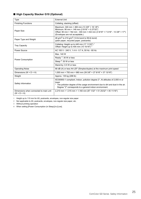## ■ **High Capacity Stacker G10 (Optional)**

| Type                                                              | <b>External Unit</b>                                                                                                                                                                                                                  |
|-------------------------------------------------------------------|---------------------------------------------------------------------------------------------------------------------------------------------------------------------------------------------------------------------------------------|
| <b>Finishing Functions</b>                                        | Collating, stacking (offset)                                                                                                                                                                                                          |
| Paper Size                                                        | Maximum: 340 mm × 460 mm (13 3/8" × 18 1/8")<br>Minimum: 90 mm × 148 mm (3 9/16" × 5 27/32")<br>Offset: 90 mm × 182 mm - 340 mm × 432 mm (3 9/16" × 7 3/16" - 13 3/8" × 17")<br>(Envelopes are not acceptable.)                       |
| Paper Type and Weight                                             | 46 g/m <sup>2</sup> to 210 g/m <sup>2</sup> (12-lb bond to 56-lb bond)<br>(plain paper, recycled paper, postcards)                                                                                                                    |
| <b>Tray Capacity</b>                                              | Collating: Height up to 440 mm (17 11/32") $1$<br>Offset: Height up to 405 mm (15 15/16") <sup>2</sup>                                                                                                                                |
| Power Source                                                      | AC 100 V - 240 V, 1.4 A - 0.7 A, 50 Hz - 60 Hz                                                                                                                                                                                        |
| <b>Power Consumption</b>                                          | Max. 140 W                                                                                                                                                                                                                            |
|                                                                   | Ready $3:30$ W or less                                                                                                                                                                                                                |
|                                                                   | Sleep $4:30$ W or less                                                                                                                                                                                                                |
|                                                                   | Stand-by: 0.5 W or less                                                                                                                                                                                                               |
| <b>Operating Noise</b>                                            | 68 dB (A) or less A4-LEF (Simplex/duplex) at the maximum print speed                                                                                                                                                                  |
| Dimensions (W $\times$ D $\times$ H)                              | 1,000 mm × 700 mm × 960 mm (39 3/8" × 27 9/16" × 37 13/16")                                                                                                                                                                           |
| Weight                                                            | Approx. 135 kg (298 lb)                                                                                                                                                                                                               |
| Safety Information                                                | IEC60950-1 compliant, Indoor, pollution degree 2*, At altitudes of 2,000 m or<br>lower<br>* The pollution degree of the usage environment due to dirt and dust in the air.<br>Degree "2" corresponds to a general indoor environment. |
| Dimensions when connected to main unit<br>$(W \times D \times H)$ | 2,210 mm × 1,315 mm × 1,160 mm (87 1/32" × 51 25/32" × 45 11/16")                                                                                                                                                                     |

1 Height up to 110 mm for A5, postcards, envelopes, non-regular size paper

2 Not applicable to A5, postcards, envelopes, non-regular size paper, etc.

3 Without printing operation

4 When setting [Power Consumption (in Sleep)] to [Low].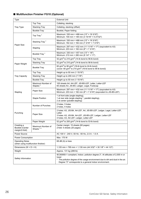# ■ **Multifunction Finisher FG10 (Optional)**

| Type                                                          |                                  | <b>External Unit</b>                                                                                                                                                                                                                |
|---------------------------------------------------------------|----------------------------------|-------------------------------------------------------------------------------------------------------------------------------------------------------------------------------------------------------------------------------------|
| Tray Type                                                     | Top Tray                         | Collating, stacking                                                                                                                                                                                                                 |
|                                                               | <b>Stacking Tray</b>             | Collating, stacking (offset)                                                                                                                                                                                                        |
|                                                               | <b>Booklet Tray</b>              | Booklet, Paper folding                                                                                                                                                                                                              |
|                                                               | Top Tray $1$                     | Maximum: 330 mm × 488 mm (13" × 19 3/16")<br>Minimum: 100 mm × 148 mm (3 15/16" × 5 27/32")                                                                                                                                         |
|                                                               | Stacking Tray <sup>1</sup>       | Maximum: 330 mm × 488 mm (13" × 19 3/16")<br>Minimum: 182 mm × 182 mm (7 3/16" × 7 3/16")                                                                                                                                           |
| Paper Size                                                    | Stapling                         | Maximum: 297 mm × 432 mm (11 11/16" × 17") (equivalent to A3)<br>Minimum: 203 mm × 182 mm (8" × 7 3/16")                                                                                                                            |
|                                                               | Booklet Tray <sup>1</sup>        | Maximum: 330 mm × 457 mm (13" × 18")<br>Minimum: 210 mm × 280 mm (8 1/4" × 11")                                                                                                                                                     |
|                                                               | Top Tray                         | 52 g/m <sup>2</sup> to 210 g/m <sup>2</sup> (14-lb bond to 56-lb bond)                                                                                                                                                              |
| Paper Weight                                                  | <b>Stacking Tray</b>             | 52 g/m <sup>2</sup> to 210 g/m <sup>2</sup> (14-lb bond to 56-lb bond)                                                                                                                                                              |
|                                                               | <b>Booklet Tray</b>              | 60 g/m <sup>2</sup> to 90 g/m <sup>2</sup> (16-lb bond to 24-lb bond)<br>(cover: 60 g/m <sup>2</sup> to 210 g/m <sup>2</sup> (16-lb bond to 56-lb bond))                                                                            |
|                                                               | Top Tray                         | Height up to 50 mm (1 15/16")                                                                                                                                                                                                       |
| <b>Tray Capacity</b>                                          | <b>Stacking Tray</b>             | Height up to 200 mm (7 7/8")                                                                                                                                                                                                        |
|                                                               | <b>Booklet Tray</b>              | Height up to 50 mm (1 15/16")                                                                                                                                                                                                       |
|                                                               | Maximum Number of<br>Staples $2$ | 100 sheets A4, A4-LEF, JIS-B5-LEF, Letter, Letter-LEF<br>65 sheets A3, JIS-B4, Ledger, Legal, Foolscap                                                                                                                              |
| Stapling                                                      | Paper Size                       | Maximum: 297 mm × 432 mm (11 11/16" × 17") (equivalent to A3)<br>Minimum: 203 mm × 182 mm (8" × 7 3/16") (equivalent to JIS-B5-LEF)                                                                                                 |
|                                                               | <b>Staple Position</b>           | 1 at front side (angle stapling),<br>1 at rear side (angle stapling $3$ , parallel stapling),<br>2 at center (parallel stapling)                                                                                                    |
|                                                               | Number of Punches                | 2 holes, 3 holes<br>2 holes, 4 holes                                                                                                                                                                                                |
| Punching                                                      | Paper Size                       | 2 holes: A3, JIS-B4, A4-LEF, A4, JIS-B5-LEF, Ledger, Legal, Letter-LEF,<br>Letter<br>3 holes: A3, JIS-B4, A4-LEF, JIS-B5-LEF, Ledger, Letter-LEF<br>4 holes: A3, A4-LEF, Ledger, Letter-LEF                                         |
|                                                               | Paper Weight                     | 52 g/m <sup>2</sup> to 200 g/m <sup>2</sup> (14-lb bond to 53-lb bond)                                                                                                                                                              |
| Creating a<br>Booklet (Center<br>margin/2-fold)               | Maximum Number of<br>Sheets $24$ | Center margin: 15 sheets (60 pages)<br>2-fold: 5 sheets (20 pages)                                                                                                                                                                  |
| Power Source                                                  |                                  | AC 100 V - 240 V, 50 Hz - 60 Hz, 2.0 A - 1.0 A                                                                                                                                                                                      |
| <b>Power Consumption</b>                                      |                                  | Max. 175 W                                                                                                                                                                                                                          |
| <b>Operating Noise</b><br>(when using multifunction finisher) |                                  | 68 dB (A) or less                                                                                                                                                                                                                   |
| Dimensions ( $W \times D \times H$ )                          |                                  | 1,120 mm × 765 mm × 1,130 mm (44 3/32" × 30 1/8" × 44 1/2")                                                                                                                                                                         |
| Weight                                                        |                                  | Approx. 131 kg (289 lb)                                                                                                                                                                                                             |
| Safety Information                                            |                                  | IEC60950-1 compliant, Indoor, pollution degree 2*, At altitudes of 2,000 m or<br>lower<br>The pollution degree of the usage environment due to dirt and dust in the air.<br>Degree "2" corresponds to a general indoor environment. |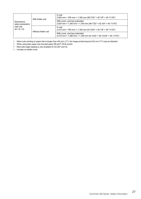| <b>Dimensions</b><br>(when connected to<br>main unit)<br>$(W \times D \times H)$ | With folder unit    | In use:<br>2,520 mm × 765 mm × 1,160 mm (99 7/32" × 30 1/8" × 45 11/16")                            |
|----------------------------------------------------------------------------------|---------------------|-----------------------------------------------------------------------------------------------------|
|                                                                                  |                     | With cover, and tray extended:<br>2,520 mm × 1,340 mm × 1,160 mm (99 7/32" × 52 3/4" × 45 11/16")   |
|                                                                                  | Without folder unit | In use:<br>2,315 mm × 765 mm × 1,160 mm (91 5/32" × 30 1/8" × 45 11/16")                            |
|                                                                                  |                     | With cover, and tray extended:<br>2,315 mm × 1,280 mm × 1,160 mm (91 5/32" × 50 13/32" × 45 11/16") |

1 When color printing on paper that is longer than 432 mm (17"), the image printed beyond 432 mm (17") may be distorted.

2 When using plain paper and recycled paper  $(85 \text{ g/m}^2 \text{ (23-lb bond)})$ 

3 Rear-side angle stapling is only available for A4-LEF and A3.

4 Includes an added cover.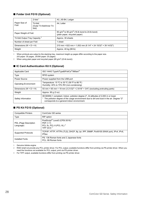### ■ **Folder Unit FG10 (Optional)**

| Paper Size of<br>Fold                       | $Z$ -fold $1$                                   | A3, JIS-B4, Ledger                                                                                     |
|---------------------------------------------|-------------------------------------------------|--------------------------------------------------------------------------------------------------------|
|                                             | Tri-fold<br>(Outer Tri-fold/Inner Tri-<br>fold) | A4, Letter                                                                                             |
| Paper Weight of Fold                        |                                                 | 60 g/m <sup>2</sup> to 90 g/m <sup>2</sup> (16-lb bond to 24-lb bond)<br>(plain paper, recycled paper) |
| Tri-fold Output Tray Capacity $\frac{2}{3}$ |                                                 | Approx. 30 sheets                                                                                      |
| Number of sheet per Fold                    |                                                 | 1 sheet                                                                                                |
| Dimensions ( $W \times D \times H$ )        |                                                 | 210 mm × 622 mm × 1,002 mm (8 1/4" × 24 15/32" × 39 14/32")                                            |
| Weight                                      |                                                 | Approx. 40 kg (88 lb)                                                                                  |

1 When printouts are output to the stacking tray, maximum height up pages differ according to the paper size. (A3 paper: 30 pages, JIS-B4 paper: 20 pages)

2 When using plain paper and recycled paper  $(85 \text{ g/m}^2 \text{ (23-lb bond)})$ 

#### ■ **IC Card Authentication Kit II (Optional)**

| Applicable Card                      | ISO 14443 TypeA/TypeB/FeliCa <sup>®</sup> /Mifare <sup>®</sup>                                                                                                                                                                                  |
|--------------------------------------|-------------------------------------------------------------------------------------------------------------------------------------------------------------------------------------------------------------------------------------------------|
| <b>Type</b>                          | <b>RFID</b> system                                                                                                                                                                                                                              |
| Power Source                         | Power supplied from the USB port                                                                                                                                                                                                                |
| <b>Operating Environment</b>         | Temperature: 15 °C to 30 °C (59 °F to 86 °F)<br>Humidity: 40% to 70% RH (non-condensing)                                                                                                                                                        |
| Dimensions ( $W \times D \times H$ ) | 93 mm × 65 mm × 19 mm (3 21/32" × 2 9/16" × 3/4") (excluding protruding parts)                                                                                                                                                                  |
| Weight                               | Approx. 90 g (3 oz)                                                                                                                                                                                                                             |
| Safety Information                   | IEC60950-1 compliant, Indoor, pollution degree 2 <sup>*</sup> , At altitudes of 2,000 m or lower<br>* The pollution degree of the usage environment due to dirt and dust in the air. Degree "2"<br>corresponds to a general indoor environment. |

#### ■ **PS Kit FG10 (Optional)**

| <b>Compatible Printers</b>         | ComColor GD series                                                                                                    |
|------------------------------------|-----------------------------------------------------------------------------------------------------------------------|
| Type                               | RIP option                                                                                                            |
| PDL (Page Description<br>Language) | PostScript <sup>®</sup> Level3 (CPSI:3019) <sup>1</sup><br>PDF (1.7)<br>PCL 5c, PCL 6 (PCL XL) $^2$<br>TIFF $(6.0)^3$ |
| Supported Protocols                | TCP/IP, HTTP, HTTPs (TLS), DHCP, ftp, lpr, IPP, SNMP, Port9100 (RAW port), IPv4, IPv6,<br><b>IPSec</b>                |
| Installed Fonts                    | PS: 136 Roman fonts and 2 Japanese fonts<br>PCL: 88 Roman fonts                                                       |

1 Genuine Adobe engine

2 RISO shall not provide any PCL printer driver. For PCL output, available functions differ from printing via PS printer driver. When you need the functions not available for PCL output, print via PS printer driver.

3 For TIFF output, available functions differ from printing via PS printer driver.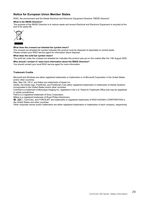### **Notice for European Union Member States**

RISO, the environment and the Waste Electrical and Electronic Equipment Directive "WEEE Directive"

#### **What is the WEEE Directive?**

The purpose of the WEEE Directive is to reduce waste and ensure Electrical and Electronic Equipment is recycled at the end of its useful life.



#### **What does the crossed out wheeled bin symbol mean?**

The crossed out wheeled bin symbol indicates this product must be disposed of separately to normal waste. Please contact your RISO service agent for information about disposal.

#### **What does the solid bar symbol mean?**

The solid bar under the crossed out wheeled bin indicates this product was put on the market after the 13th August 2005.

**Who should I contact if I want more information about the WEEE Directive?**

You should contact your local RISO service agent for more information.

#### **Trademark Credits**

Microsoft and Windows are either registered trademarks or trademarks or of Microsoft Corporation in the United States and/or other countries.

Mac, Mac OS, OS X, and Safari are trademarks of Apple Inc.

Adobe, the Adobe logo, PostScript, and PostScript 3 are either registered trademarks or trademarks of Adobe Systems Incorporated in the United States and/or other countries.

ColorSet is a trademark of Monotype Imaging Inc. registered in the U.S. Patent & Trademark Office and may be registered in certain jurisdictions.

FeliCa is a registered trademark of Sony Corporation.

Mifare is a registered trademark of Royal Philips Electronics.

 $\bigcirc$ , CISO, ComColor, and FORCEJET are trademarks or registered trademarks of RISO KAGAKU CORPORATION in the United States and other countries.

Other corporate names and/or trademarks are either registered trademarks or trademarks of each company, respectively.